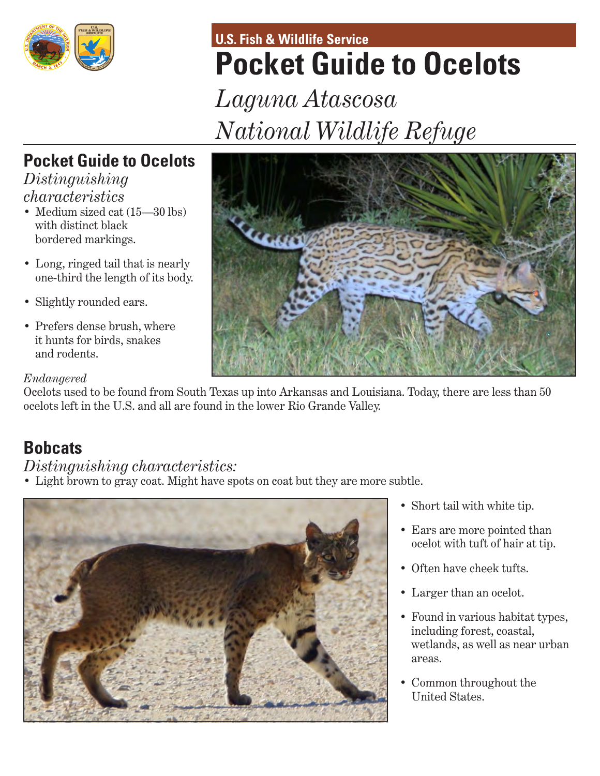

# **U.S. Fish & Wildlife Service Pocket Guide to Ocelots**

*Laguna Atascosa National Wildlife Refuge*

# **Pocket Guide to Ocelots**

*Distinguishing characteristics*

- Medium sized cat  $(15-30)$  lbs) with distinct black bordered markings.
- Long, ringed tail that is nearly one-third the length of its body.
- Slightly rounded ears.
- Prefers dense brush, where it hunts for birds, snakes and rodents.

## *Endangered*

Ocelots used to be found from South Texas up into Arkansas and Louisiana. Today, there are less than 50 ocelots left in the U.S. and all are found in the lower Rio Grande Valley.

# **Bobcats**

## *Distinguishing characteristics:*

• Light brown to gray coat. Might have spots on coat but they are more subtle.



- Short tail with white tip.
- Ears are more pointed than ocelot with tuft of hair at tip.
- Often have cheek tufts.
- Larger than an ocelot.
- Found in various habitat types, including forest, coastal, wetlands, as well as near urban areas.
- Common throughout the United States.